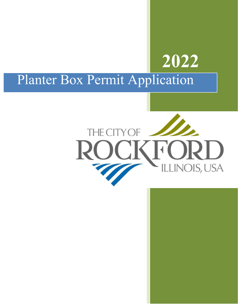# **2022** Planter Box Permit Application

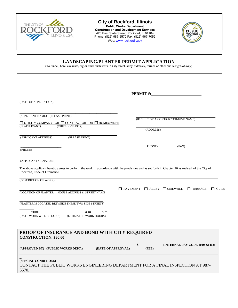

#### **City of Rockford, Illinois Public Works Department Construction and Development Services** 425 East State Street, Rockford, IL 61104 Phone: (815) 987-5570 Fax: (815) 967-7052 Web: www.rockfordil.gov



**LANDSCAPING/PLANTER PERMIT APPLICATION** 

(To tunnel, bore, excavate, dig or other such work in City street, alley, sidewalk, terrace or other public right-of-way)

|                                                                                                                                                                                                            | PERMIT#:    |                                                                            |
|------------------------------------------------------------------------------------------------------------------------------------------------------------------------------------------------------------|-------------|----------------------------------------------------------------------------|
| (DATE OF APPLICATION)                                                                                                                                                                                      |             |                                                                            |
| (APPLICANT NAME) (PLEASE PRINT)<br>$\Box$ UTILITY COMPANY OR $\Box$ CONTRACTOR OR $\Box$ HOMEOWNER<br>(CHECK ONE BOX)<br>(IS APPLICANT)                                                                    | (ADDRESS)   | (IF BUILT BY A CONTRACTOR-GIVE NAME)                                       |
| (PLEASE PRINT)<br>(APPLICANT ADDRESS)                                                                                                                                                                      |             |                                                                            |
| (PHONE)                                                                                                                                                                                                    | PHONE)      | (FAX)                                                                      |
| (APPLICANT SIGNATURE)<br>The above applicant hereby agrees to perform the work in accordance with the provisions and as set forth in Chapter 26 as revised, of the City of<br>Rockford, Code of Ordinance. |             |                                                                            |
| (DESCRIPTION OF WORK)                                                                                                                                                                                      |             |                                                                            |
| (LOCATION OF PLANTER - HOUSE ADDRESS & STREET NAME                                                                                                                                                         |             | $\Box$ PAVEMENT $\Box$ ALLEY $\Box$ SIDEWALK $\Box$ TERRACE<br>$\Box$ CURB |
| (PLANTER IS LOCATED BETWEEN THESE TWO SIDE STREETS)                                                                                                                                                        |             |                                                                            |
| <b>THRU</b><br>$a.m.$ $p.m$<br>(DATE WORK WILL BE DONE)<br>(ESTIMATED WORK HOURS)                                                                                                                          |             |                                                                            |
| PROOF OF INSURANCE AND BOND WITH CITY REQUIRED<br><b>CONSTRUCTION: \$30.00</b>                                                                                                                             |             |                                                                            |
| (APPROVED BY) (PUBLIC WORKS DEPT.)<br>(DATE OF APPROVAL)                                                                                                                                                   | \$<br>(FEE) | (INTERNAL PAY CODE 1010 61403)                                             |
| (SPECIAL CONDITIONS)<br>CONTACT THE PUBLIC WORKS ENGINEERING DEPARTMENT FOR A FINAL INSPECTION AT 987-<br>5570.                                                                                            |             |                                                                            |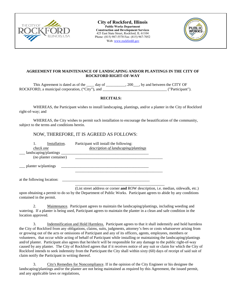

**City of Rockford, Illinois Public Works Department Construction and Development Services**  425 East State Street, Rockford, IL 61104 Phone: (815) 987-5570 Fax: (815) 967-7052 Web: www.rockfordil.gov



#### **AGREEMENT FOR MAINTENANCE OF LANDSCAPING AND/OR PLANTINGS IN THE CITY OF ROCKFORD RIGHT-OF-WAY**

This Agreement is dated as of the \_\_\_\_ day of \_\_\_\_\_\_\_\_\_, 200\_\_\_, by and between the CITY OF ROCKFORD, a municipal corporation, ("City"), and  $($ "Participant").

#### **RECITALS:**

WHEREAS, the Participant wishes to install landscaping, plantings, and/or a planter in the City of Rockford right-of-way; and

WHEREAS, the City wishes to permit such installation to encourage the beautification of the community, subject to the terms and conditions herein.

### NOW, THEREFORE, IT IS AGREED AS FOLLOWS:

| Installation.<br>check one                      | Participant will install the following:<br>description of landscaping/plantings |  |
|-------------------------------------------------|---------------------------------------------------------------------------------|--|
| landscaping/plantings<br>(no planter container) |                                                                                 |  |
| planter w/plantings                             |                                                                                 |  |
| at the following location:                      |                                                                                 |  |

(List street address or corner **and** ROW description, i.e. median, sidewalk, etc.) upon obtaining a permit to do so by the Department of Public Works. Participant agrees to abide by any conditions contained in the permit.

2. Maintenance. Participant agrees to maintain the landscaping/plantings, including weeding and watering. If a planter is being used, Participant agrees to maintain the planter in a clean and safe condition in the location approved.

3. Indemnification and Hold Harmless. Participant agrees to that it shall indemnify and hold harmless the City of Rockford from any obligations, claims, suits, judgments, attorney's fees or costs whatsoever arising from or growing out of the acts or omissions of Participant and any of its officers, agents, employees, members or volunteers, that occur while acting of behalf of Participant while installing or maintaining the landscaping/plantings and/of planter. Participant also agrees that he/she/it will be responsible for any damage to the public right-of-way caused by any planter. The City of Rockford agrees that if it receives notice of any suit or claim for which the City of Rockford intends to seek indemnity from the Participant the City shall within sixty (60) days of receipt of said suit of claim notify the Participant in writing thereof.

3. City's Remedies for Noncompliance. If in the opinion of the City Engineer or his designee the landscaping/plantings and/or the planter are not being maintained as required by this Agreement, the issued permit, and any applicable laws or regulations,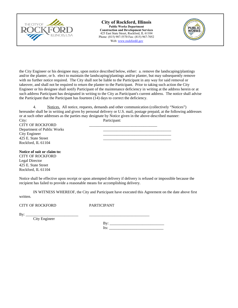

**City of Rockford, Illinois Public Works Department Construction and Development Services**  425 East State Street, Rockford, IL 61104 Phone: (815) 987-5570 Fax: (815) 967-7052 Web: www.rockfordil.gov



the City Engineer or his designee may, upon notice described below, either: a. remove the landscaping/plantings and/or the planter, or b. elect to maintain the landscaping/plantings and/or planter, but may subsequently remove with no further notice required. The City shall not be liable to the Participant in any way for said removal or takeover, and shall not be required to return the planter to the Participant. Prior to taking such action the City Engineer or his designee shall notify Participant of the maintenance deficiency in writing at the address herein or at such address Participant has designated in writing to the City as Participant's current address. The notice shall advise the Participant that the Participant has fourteen (14) days to correct the deficiency.

4. Notices. All notice, requests, demands and other communication (collectively "Notices") hereunder shall be in writing and given by personal delivery or U.S. mail, postage prepaid, at the following addresses or at such other addresses as the parties may designate by Notice given in the above-described manner: City: Participant:

CITY OF ROCKFORD Department of Public Works City Engineer 425 E. State Street Rockford, IL 61104

**Notice of suit or claim to:** CITY OF ROCKFORD Legal Director 425 E. State Street Rockford, IL 61104

Notice shall be effective upon receipt or upon attempted delivery if delivery is refused or impossible because the recipient has failed to provide a reasonable means for accomplishing delivery.

IN WITNESS WHEREOF, the City and Participant have executed this Agreement on the date above first written.

CITY OF ROCKFORD PARTICIPANT

| ÷<br> | ________ |               |
|-------|----------|---------------|
|       |          | ____<br>_____ |
|       |          |               |

City Engineer

By: \_\_\_\_\_\_\_\_\_\_\_\_\_\_\_\_\_\_\_\_\_\_\_\_\_\_\_\_  $Its:$